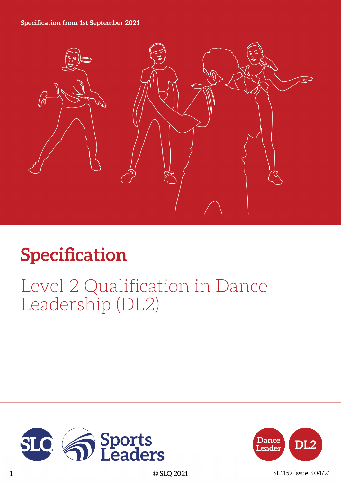### **Specification from 1st September 2021**



# **Specification**

# Level 2 Qualification in Dance Leadership (DL2)





1 © SLQ 2021 SL1157 Issue 3 04/21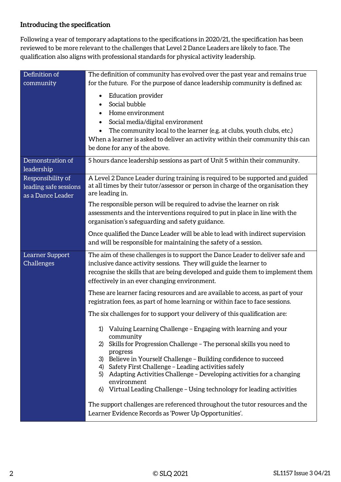### **Introducing the specification**

Following a year of temporary adaptations to the specifications in 2020/21, the specification has been reviewed to be more relevant to the challenges that Level 2 Dance Leaders are likely to face. The qualification also aligns with professional standards for physical activity leadership.

| Definition of                                                   | The definition of community has evolved over the past year and remains true                                                                                                                                                                                                                                                                                                                                                                                                     |  |  |
|-----------------------------------------------------------------|---------------------------------------------------------------------------------------------------------------------------------------------------------------------------------------------------------------------------------------------------------------------------------------------------------------------------------------------------------------------------------------------------------------------------------------------------------------------------------|--|--|
| community                                                       | for the future. For the purpose of dance leadership community is defined as:                                                                                                                                                                                                                                                                                                                                                                                                    |  |  |
|                                                                 | <b>Education provider</b><br>$\bullet$<br>Social bubble<br>Home environment<br>$\bullet$<br>Social media/digital environment<br>The community local to the learner (e.g. at clubs, youth clubs, etc.)<br>When a learner is asked to deliver an activity within their community this can<br>be done for any of the above.                                                                                                                                                        |  |  |
| Demonstration of<br>leadership                                  | 5 hours dance leadership sessions as part of Unit 5 within their community.                                                                                                                                                                                                                                                                                                                                                                                                     |  |  |
| Responsibility of<br>leading safe sessions<br>as a Dance Leader | A Level 2 Dance Leader during training is required to be supported and guided<br>at all times by their tutor/assessor or person in charge of the organisation they<br>are leading in.                                                                                                                                                                                                                                                                                           |  |  |
|                                                                 | The responsible person will be required to advise the learner on risk<br>assessments and the interventions required to put in place in line with the<br>organisation's safeguarding and safety guidance.                                                                                                                                                                                                                                                                        |  |  |
|                                                                 | Once qualified the Dance Leader will be able to lead with indirect supervision<br>and will be responsible for maintaining the safety of a session.                                                                                                                                                                                                                                                                                                                              |  |  |
| Learner Support<br>Challenges                                   | The aim of these challenges is to support the Dance Leader to deliver safe and<br>inclusive dance activity sessions. They will guide the learner to<br>recognise the skills that are being developed and guide them to implement them<br>effectively in an ever changing environment.                                                                                                                                                                                           |  |  |
|                                                                 | These are learner facing resources and are available to access, as part of your<br>registration fees, as part of home learning or within face to face sessions.                                                                                                                                                                                                                                                                                                                 |  |  |
|                                                                 | The six challenges for to support your delivery of this qualification are:                                                                                                                                                                                                                                                                                                                                                                                                      |  |  |
|                                                                 | Valuing Learning Challenge - Engaging with learning and your<br>1)<br>community<br>Skills for Progression Challenge - The personal skills you need to<br>2)<br>progress<br>Believe in Yourself Challenge - Building confidence to succeed<br>3)<br>4) Safety First Challenge - Leading activities safely<br>Adapting Activities Challenge - Developing activities for a changing<br>5)<br>environment<br>6) Virtual Leading Challenge - Using technology for leading activities |  |  |
|                                                                 | The support challenges are referenced throughout the tutor resources and the<br>Learner Evidence Records as 'Power Up Opportunities'.                                                                                                                                                                                                                                                                                                                                           |  |  |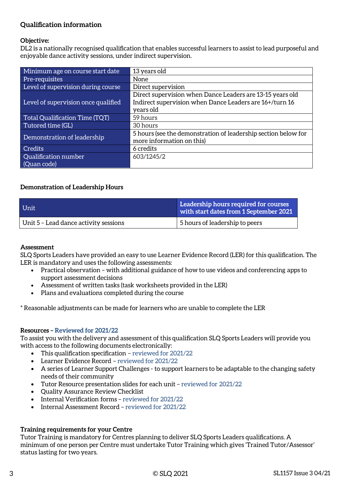### **Qualification information**

### **Objective:**

DL2 is a nationally recognised qualification that enables successful learners to assist to lead purposeful and enjoyable dance activity sessions, under indirect supervision.

| Minimum age on course start date    | 13 years old                                                                                                                      |
|-------------------------------------|-----------------------------------------------------------------------------------------------------------------------------------|
| Pre-requisites                      | None                                                                                                                              |
| Level of supervision during course  | Direct supervision                                                                                                                |
| Level of supervision once qualified | Direct supervision when Dance Leaders are 13-15 years old<br>Indirect supervision when Dance Leaders are 16+/turn 16<br>years old |
| Total Qualification Time (TQT)      | 59 hours                                                                                                                          |
| Tutored time (GL)                   | 30 hours                                                                                                                          |
| Demonstration of leadership         | 5 hours (see the demonstration of leadership section below for<br>more information on this)                                       |
| <b>Credits</b>                      | 6 credits                                                                                                                         |
| Qualification number<br>(Quan code) | 603/1245/2                                                                                                                        |

### **Demonstration of Leadership Hours**

| Unit                                  | Leadership hours required for courses<br>with start dates from 1 September 2021 |  |
|---------------------------------------|---------------------------------------------------------------------------------|--|
| Unit 5 - Lead dance activity sessions | 5 hours of leadership to peers                                                  |  |

#### **Assessment**

SLQ Sports Leaders have provided an easy to use Learner Evidence Record (LER) for this qualification. The LER is mandatory and uses the following assessments:

- Practical observation with additional guidance of how to use videos and conferencing apps to support assessment decisions
- Assessment of written tasks (task worksheets provided in the LER)
- Plans and evaluations completed during the course

\* Reasonable adjustments can be made for learners who are unable to complete the LER

### **Resources – Reviewed for 2021/22**

To assist you with the delivery and assessment of this qualification SLQ Sports Leaders will provide you with access to the following documents electronically:

- This qualification specification reviewed for 2021/22
- Learner Evidence Record reviewed for 2021/22
- A series of Learner Support Challenges to support learners to be adaptable to the changing safety needs of their community
- Tutor Resource presentation slides for each unit reviewed for 2021/22
- Quality Assurance Review Checklist
- Internal Verification forms reviewed for 2021/22
- Internal Assessment Record reviewed for 2021/22

#### **Training requirements for your Centre**

Tutor Training is mandatory for Centres planning to deliver SLQ Sports Leaders qualifications. A minimum of one person per Centre must undertake Tutor Training which gives 'Trained Tutor/Assessor' status lasting for two years.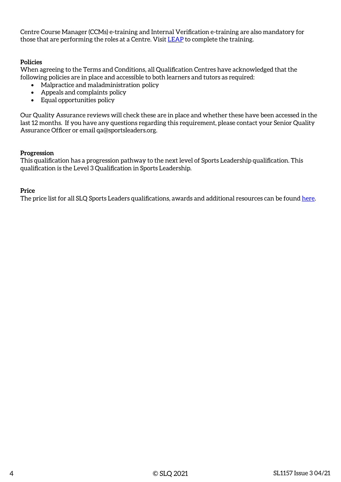Centre Course Manager (CCMs) e-training and Internal Verification e-training are also mandatory for those that are performing the roles at a Centre. Visit [LEAP](https://leap.slqskills.org/training-menu/?def=1) to complete the training.

### **Policies**

When agreeing to the Terms and Conditions, all Qualification Centres have acknowledged that the following policies are in place and accessible to both learners and tutors as required:

- Malpractice and maladministration policy
- Appeals and complaints policy
- Equal opportunities policy

Our Quality Assurance reviews will check these are in place and whether these have been accessed in the last 12 months. If you have any questions regarding this requirement, please contact your Senior Quality Assurance Officer or email qa@sportsleaders.org.

#### **Progression**

This qualification has a progression pathway to the next level of Sports Leadership qualification. This qualification is the Level 3 Qualification in Sports Leadership.

#### **Price**

The price list for all SLQ Sports Leaders qualifications, awards and additional resources can be found [here.](https://www.sportsleaders.org/about-us-1/prices)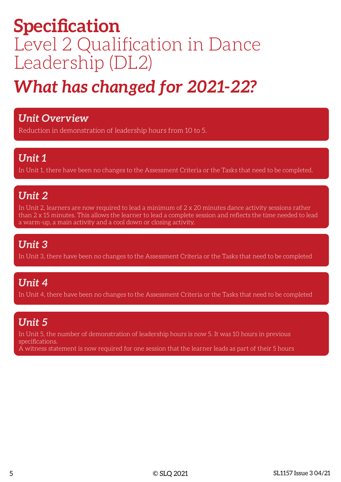# **Specification** Level 2 Qualification in Dance Leadership (DL2)

# *What has changed for 2021-22?*

### *Unit Overview*

Reduction in demonstration of leadership hours from 10 to 5.

## *Unit 1*

In Unit 1, there have been no changes to the Assessment Criteria or the Tasks that need to be completed.

## *Unit 2*

In Unit 2, learners are now required to lead a minimum of 2 x 20 minutes dance activity sessions rather than 2 x 15 minutes. This allows the learner to lead a complete session and reflects the time needed to lead a warm-up, a main activity and a cool down or closing activity.

## *Unit 3*

In Unit 3, there have been no changes to the Assessment Criteria or the Tasks that need to be completed

## *Unit 4*

In Unit 4, there have been no changes to the Assessment Criteria or the Tasks that need to be completed

## *Unit 5*

In Unit 5, the number of demonstration of leadership hours is now 5. It was 10 hours in previous specifications.

A witness statement is now required for one session that the learner leads as part of their 5 hours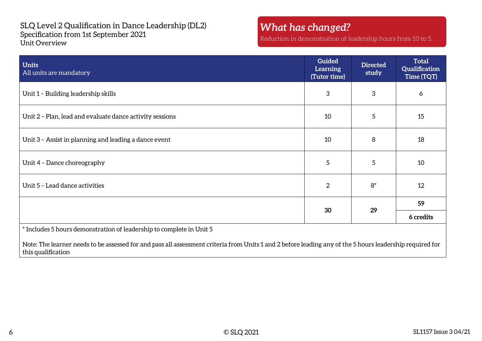SLQ Level 2 Qualification in Dance Leadership (DL2) Specification from 1st September 2021 Unit Overview

## *What has changed?*

Reduction in demonstration of leadership hours from 10 to 5.

| <b>Units</b><br>All units are mandatory                                                                                                                                                                                          | <b>Guided</b><br><b>Learning</b><br>(Tutor time) | <b>Directed</b><br>study | <b>Total</b><br>Qualification<br>Time (TQT) |
|----------------------------------------------------------------------------------------------------------------------------------------------------------------------------------------------------------------------------------|--------------------------------------------------|--------------------------|---------------------------------------------|
| Unit 1 - Building leadership skills                                                                                                                                                                                              | 3                                                | 3                        | 6                                           |
| Unit 2 - Plan, lead and evaluate dance activity sessions                                                                                                                                                                         | 10                                               | 5                        | 15                                          |
| Unit 3 - Assist in planning and leading a dance event                                                                                                                                                                            | 10                                               | 8                        | 18                                          |
| Unit 4 - Dance choreography                                                                                                                                                                                                      | 5                                                | 5                        | 10                                          |
| Unit 5 - Lead dance activities                                                                                                                                                                                                   | $\overline{2}$                                   | $8*$                     | 12                                          |
|                                                                                                                                                                                                                                  | 30                                               | 29                       | 59                                          |
|                                                                                                                                                                                                                                  |                                                  |                          | 6 credits                                   |
| * Includes 5 hours demonstration of leadership to complete in Unit 5<br>Note: The learner needs to be assessed for and pass all assessment criteria from Units 1 and 2 before leading any of the 5 hours leadership required for |                                                  |                          |                                             |
| this qualification                                                                                                                                                                                                               |                                                  |                          |                                             |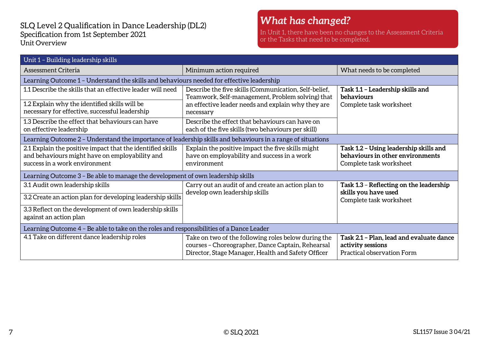### SLQ Level 2 Qualification in Dance Leadership (DL2) Specification from 1st September 2021 Unit Overview

### *What has changed?*

In Unit 1, there have been no changes to the Assessment Criteria or the Tasks that need to be completed.

| Unit 1 - Building leadership skills                                                                                                           |                                                                                                                                                                |                                                                                                       |  |
|-----------------------------------------------------------------------------------------------------------------------------------------------|----------------------------------------------------------------------------------------------------------------------------------------------------------------|-------------------------------------------------------------------------------------------------------|--|
| Assessment Criteria                                                                                                                           | Minimum action required                                                                                                                                        | What needs to be completed                                                                            |  |
| Learning Outcome 1 - Understand the skills and behaviours needed for effective leadership                                                     |                                                                                                                                                                |                                                                                                       |  |
| 1.1 Describe the skills that an effective leader will need                                                                                    | Describe the five skills (Communication, Self-belief,<br>Teamwork, Self-management, Problem solving) that                                                      | Task 1.1 - Leadership skills and<br>behaviours                                                        |  |
| 1.2 Explain why the identified skills will be<br>necessary for effective, successful leadership                                               | an effective leader needs and explain why they are<br>necessary                                                                                                | Complete task worksheet                                                                               |  |
| 1.3 Describe the effect that behaviours can have<br>on effective leadership                                                                   | Describe the effect that behaviours can have on<br>each of the five skills (two behaviours per skill)                                                          |                                                                                                       |  |
| Learning Outcome 2 - Understand the importance of leadership skills and behaviours in a range of situations                                   |                                                                                                                                                                |                                                                                                       |  |
| 2.1 Explain the positive impact that the identified skills<br>and behaviours might have on employability and<br>success in a work environment | Explain the positive impact the five skills might<br>have on employability and success in a work<br>environment                                                | Task 1.2 - Using leadership skills and<br>behaviours in other environments<br>Complete task worksheet |  |
| Learning Outcome 3 - Be able to manage the development of own leadership skills                                                               |                                                                                                                                                                |                                                                                                       |  |
| 3.1 Audit own leadership skills                                                                                                               | Carry out an audit of and create an action plan to                                                                                                             | Task 1.3 - Reflecting on the leadership                                                               |  |
| 3.2 Create an action plan for developing leadership skills                                                                                    | develop own leadership skills                                                                                                                                  | skills you have used<br>Complete task worksheet                                                       |  |
| 3.3 Reflect on the development of own leadership skills<br>against an action plan                                                             |                                                                                                                                                                |                                                                                                       |  |
| Learning Outcome 4 - Be able to take on the roles and responsibilities of a Dance Leader                                                      |                                                                                                                                                                |                                                                                                       |  |
| 4.1 Take on different dance leadership roles                                                                                                  | Take on two of the following roles below during the<br>courses - Choreographer, Dance Captain, Rehearsal<br>Director, Stage Manager, Health and Safety Officer | Task 2.1 - Plan, lead and evaluate dance<br>activity sessions<br>Practical observation Form           |  |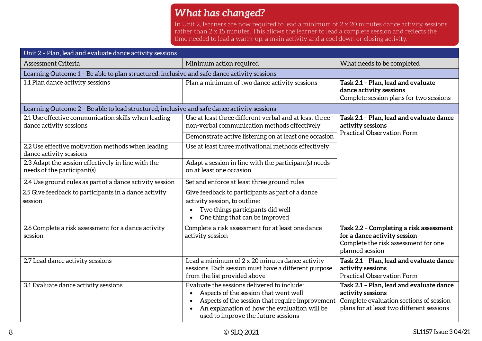## *What has changed?*

In Unit 2, learners are now required to lead a minimum of 2 x 20 minutes dance activity sessions rather than 2 x 15 minutes. This allows the learner to lead a complete session and reflects the time needed to lead a warm-up, a main activity and a cool down or closing activity.

| Unit 2 - Plan, lead and evaluate dance activity sessions                                    |                                                                                                                                                                                                                                |                                                                                                                                                       |  |
|---------------------------------------------------------------------------------------------|--------------------------------------------------------------------------------------------------------------------------------------------------------------------------------------------------------------------------------|-------------------------------------------------------------------------------------------------------------------------------------------------------|--|
| <b>Assessment Criteria</b>                                                                  | Minimum action required                                                                                                                                                                                                        | What needs to be completed                                                                                                                            |  |
| Learning Outcome 1 - Be able to plan structured, inclusive and safe dance activity sessions |                                                                                                                                                                                                                                |                                                                                                                                                       |  |
| 1.1 Plan dance activity sessions                                                            | Plan a minimum of two dance activity sessions                                                                                                                                                                                  | Task 2.1 - Plan, lead and evaluate<br>dance activity sessions<br>Complete session plans for two sessions                                              |  |
| Learning Outcome 2 - Be able to lead structured, inclusive and safe dance activity sessions |                                                                                                                                                                                                                                |                                                                                                                                                       |  |
| 2.1 Use effective communication skills when leading<br>dance activity sessions              | Use at least three different verbal and at least three<br>non-verbal communication methods effectively                                                                                                                         | Task 2.1 - Plan, lead and evaluate dance<br>activity sessions                                                                                         |  |
|                                                                                             | Demonstrate active listening on at least one occasion                                                                                                                                                                          | <b>Practical Observation Form</b>                                                                                                                     |  |
| 2.2 Use effective motivation methods when leading<br>dance activity sessions                | Use at least three motivational methods effectively                                                                                                                                                                            |                                                                                                                                                       |  |
| 2.3 Adapt the session effectively in line with the<br>needs of the participant(s)           | Adapt a session in line with the participant(s) needs<br>on at least one occasion                                                                                                                                              |                                                                                                                                                       |  |
| 2.4 Use ground rules as part of a dance activity session                                    | Set and enforce at least three ground rules                                                                                                                                                                                    |                                                                                                                                                       |  |
| 2.5 Give feedback to participants in a dance activity<br>session                            | Give feedback to participants as part of a dance<br>activity session, to outline:<br>Two things participants did well<br>One thing that can be improved                                                                        |                                                                                                                                                       |  |
| 2.6 Complete a risk assessment for a dance activity<br>session                              | Complete a risk assessment for at least one dance<br>activity session                                                                                                                                                          | Task 2.2 - Completing a risk assessment<br>for a dance activity session<br>Complete the risk assessment for one<br>planned session                    |  |
| 2.7 Lead dance activity sessions                                                            | Lead a minimum of 2 x 20 minutes dance activity<br>sessions. Each session must have a different purpose<br>from the list provided above                                                                                        | Task 2.1 - Plan, lead and evaluate dance<br>activity sessions<br><b>Practical Observation Form</b>                                                    |  |
| 3.1 Evaluate dance activity sessions                                                        | Evaluate the sessions delivered to include:<br>Aspects of the session that went well<br>Aspects of the session that require improvement<br>An explanation of how the evaluation will be<br>used to improve the future sessions | Task 2.1 - Plan, lead and evaluate dance<br>activity sessions<br>Complete evaluation sections of session<br>plans for at least two different sessions |  |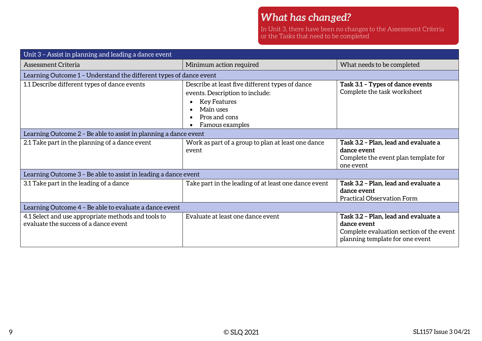In Unit 3, there have been no changes to the Assessment Criteria or the Tasks that need to be completed

| Unit 3 - Assist in planning and leading a dance event                                        |                                                                                                                                                            |                                                                                                                                    |  |
|----------------------------------------------------------------------------------------------|------------------------------------------------------------------------------------------------------------------------------------------------------------|------------------------------------------------------------------------------------------------------------------------------------|--|
| Assessment Criteria                                                                          | Minimum action required                                                                                                                                    | What needs to be completed                                                                                                         |  |
| Learning Outcome 1 - Understand the different types of dance event                           |                                                                                                                                                            |                                                                                                                                    |  |
| 1.1 Describe different types of dance events                                                 | Describe at least five different types of dance<br>events. Description to include:<br><b>Key Features</b><br>Main uses<br>Pros and cons<br>Famous examples | Task 3.1 - Types of dance events<br>Complete the task worksheet                                                                    |  |
| Learning Outcome 2 - Be able to assist in planning a dance event                             |                                                                                                                                                            |                                                                                                                                    |  |
| 2.1 Take part in the planning of a dance event                                               | Work as part of a group to plan at least one dance<br>event                                                                                                | Task 3.2 - Plan, lead and evaluate a<br>dance event<br>Complete the event plan template for<br>one event                           |  |
| Learning Outcome 3 – Be able to assist in leading a dance event                              |                                                                                                                                                            |                                                                                                                                    |  |
| 3.1 Take part in the leading of a dance                                                      | Take part in the leading of at least one dance event                                                                                                       | Task 3.2 - Plan, lead and evaluate a<br>dance event<br><b>Practical Observation Form</b>                                           |  |
| Learning Outcome 4 - Be able to evaluate a dance event                                       |                                                                                                                                                            |                                                                                                                                    |  |
| 4.1 Select and use appropriate methods and tools to<br>evaluate the success of a dance event | Evaluate at least one dance event                                                                                                                          | Task 3.2 - Plan, lead and evaluate a<br>dance event<br>Complete evaluation section of the event<br>planning template for one event |  |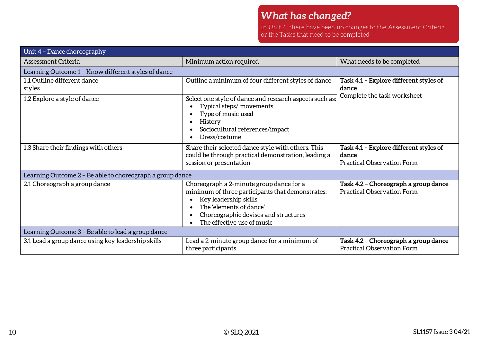## *What has changed?*

In Unit 4, there have been no changes to the Assessment Criteria or the Tasks that need to be completed

| Unit 4 - Dance choreography                               |                                                                                                                                                                                                                        |                                                                                      |  |
|-----------------------------------------------------------|------------------------------------------------------------------------------------------------------------------------------------------------------------------------------------------------------------------------|--------------------------------------------------------------------------------------|--|
| Assessment Criteria                                       | Minimum action required                                                                                                                                                                                                | What needs to be completed                                                           |  |
| Learning Outcome 1 - Know different styles of dance       |                                                                                                                                                                                                                        |                                                                                      |  |
| 1.1 Outline different dance<br>styles                     | Outline a minimum of four different styles of dance                                                                                                                                                                    | Task 4.1 - Explore different styles of<br>dance                                      |  |
| 1.2 Explore a style of dance                              | Select one style of dance and research aspects such as:<br>Typical steps/ movements<br>Type of music used<br>History<br>Sociocultural references/impact<br>Dress/costume                                               | Complete the task worksheet                                                          |  |
| 1.3 Share their findings with others                      | Share their selected dance style with others. This<br>could be through practical demonstration, leading a<br>session or presentation                                                                                   | Task 4.1 - Explore different styles of<br>dance<br><b>Practical Observation Form</b> |  |
| Learning Outcome 2 - Be able to choreograph a group dance |                                                                                                                                                                                                                        |                                                                                      |  |
| 2.1 Choreograph a group dance                             | Choreograph a 2-minute group dance for a<br>minimum of three participants that demonstrates:<br>Key leadership skills<br>The 'elements of dance'<br>Choreographic devises and structures<br>The effective use of music | Task 4.2 - Choreograph a group dance<br><b>Practical Observation Form</b>            |  |
| Learning Outcome 3 - Be able to lead a group dance        |                                                                                                                                                                                                                        |                                                                                      |  |
| 3.1 Lead a group dance using key leadership skills        | Lead a 2-minute group dance for a minimum of<br>three participants                                                                                                                                                     | Task 4.2 - Choreograph a group dance<br><b>Practical Observation Form</b>            |  |